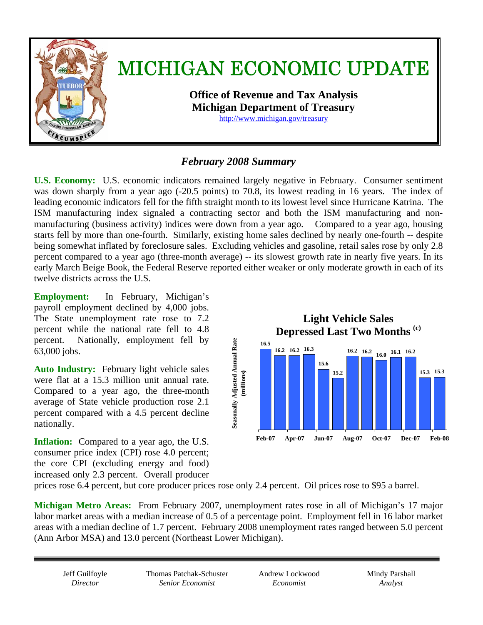

# *February 2008 Summary*

**U.S. Economy:** U.S. economic indicators remained largely negative in February. Consumer sentiment was down sharply from a year ago (-20.5 points) to 70.8, its lowest reading in 16 years. The index of leading economic indicators fell for the fifth straight month to its lowest level since Hurricane Katrina. The ISM manufacturing index signaled a contracting sector and both the ISM manufacturing and nonmanufacturing (business activity) indices were down from a year ago. Compared to a year ago, housing starts fell by more than one-fourth. Similarly, existing home sales declined by nearly one-fourth -- despite being somewhat inflated by foreclosure sales. Excluding vehicles and gasoline, retail sales rose by only 2.8 percent compared to a year ago (three-month average) -- its slowest growth rate in nearly five years. In its early March Beige Book, the Federal Reserve reported either weaker or only moderate growth in each of its twelve districts across the U.S.

**Employment:** In February, Michigan's payroll employment declined by 4,000 jobs. The State unemployment rate rose to 7.2 percent while the national rate fell to 4.8 percent. Nationally, employment fell by 63,000 jobs.

**Auto Industry:** February light vehicle sales were flat at a 15.3 million unit annual rate. Compared to a year ago, the three-month average of State vehicle production rose 2.1 percent compared with a 4.5 percent decline nationally.

**Inflation:** Compared to a year ago, the U.S. consumer price index (CPI) rose 4.0 percent; the core CPI (excluding energy and food) increased only 2.3 percent. Overall producer



prices rose 6.4 percent, but core producer prices rose only 2.4 percent. Oil prices rose to \$95 a barrel.

**Michigan Metro Areas:** From February 2007, unemployment rates rose in all of Michigan's 17 major labor market areas with a median increase of 0.5 of a percentage point.Employment fell in 16 labor market areas with a median decline of 1.7 percent.February 2008 unemployment rates ranged between 5.0 percent (Ann Arbor MSA) and 13.0 percent (Northeast Lower Michigan).

Jeff Guilfoyle *Director* 

Thomas Patchak-Schuster *Senior Economist* 

Andrew Lockwood *Economist* 

Mindy Parshall *Analyst*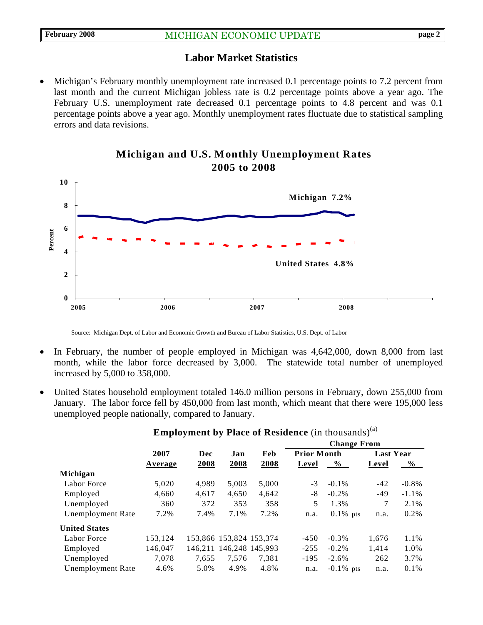# **Labor Market Statistics**

• Michigan's February monthly unemployment rate increased 0.1 percentage points to 7.2 percent from last month and the current Michigan jobless rate is 0.2 percentage points above a year ago. The February U.S. unemployment rate decreased 0.1 percentage points to 4.8 percent and was 0.1 percentage points above a year ago. Monthly unemployment rates fluctuate due to statistical sampling errors and data revisions.



#### **Michigan and U.S. Monthly Unemployment Rates 2005 to 2008**

Source: Michigan Dept. of Labor and Economic Growth and Bureau of Labor Statistics, U.S. Dept. of Labor

- In February, the number of people employed in Michigan was 4,642,000, down 8,000 from last month, while the labor force decreased by 3,000. The statewide total number of unemployed increased by 5,000 to 358,000.
- United States household employment totaled 146.0 million persons in February, down 255,000 from January. The labor force fell by 450,000 from last month, which meant that there were 195,000 less unemployed people nationally, compared to January.

|                          |         | Dec   | Jan                     | Feb   | <b>Change From</b> |               |                  |               |
|--------------------------|---------|-------|-------------------------|-------|--------------------|---------------|------------------|---------------|
|                          | 2007    |       |                         |       | <b>Prior Month</b> |               | <b>Last Year</b> |               |
|                          | Average | 2008  | 2008                    | 2008  | Level              | $\frac{0}{0}$ | Level            | $\frac{6}{9}$ |
| Michigan                 |         |       |                         |       |                    |               |                  |               |
| Labor Force              | 5,020   | 4.989 | 5,003                   | 5,000 | $-3$               | $-0.1\%$      | $-42$            | $-0.8%$       |
| Employed                 | 4,660   | 4,617 | 4,650                   | 4,642 | -8                 | $-0.2\%$      | $-49$            | $-1.1\%$      |
| Unemployed               | 360     | 372   | 353                     | 358   | 5                  | 1.3%          | 7                | 2.1%          |
| <b>Unemployment Rate</b> | 7.2%    | 7.4%  | 7.1%                    | 7.2%  | n.a.               | $0.1\%$ pts   | n.a.             | $0.2\%$       |
| <b>United States</b>     |         |       |                         |       |                    |               |                  |               |
| Labor Force              | 153,124 |       | 153,866 153,824 153,374 |       | $-450$             | $-0.3\%$      | 1,676            | 1.1%          |
| Employed                 | 146,047 |       | 146,211 146,248 145,993 |       | $-255$             | $-0.2\%$      | 1,414            | 1.0%          |
| Unemployed               | 7.078   | 7,655 | 7.576                   | 7.381 | $-195$             | $-2.6%$       | 262              | 3.7%          |
| <b>Unemployment Rate</b> | 4.6%    | 5.0%  | 4.9%                    | 4.8%  | n.a.               | $-0.1\%$ pts  | n.a.             | $0.1\%$       |
|                          |         |       |                         |       |                    |               |                  |               |

**Employment by Place of Residence** (in thousands)<sup>(a)</sup>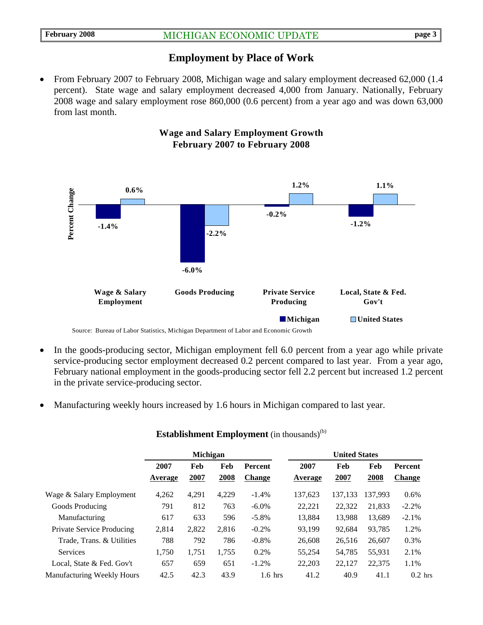# **Employment by Place of Work**

• From February 2007 to February 2008, Michigan wage and salary employment decreased 62,000 (1.4) percent).State wage and salary employment decreased 4,000 from January. Nationally, February 2008 wage and salary employment rose 860,000 (0.6 percent) from a year ago and was down 63,000 from last month.



#### • In the goods-producing sector, Michigan employment fell 6.0 percent from a year ago while private service-producing sector employment decreased 0.2 percent compared to last year. From a year ago, February national employment in the goods-producing sector fell 2.2 percent but increased 1.2 percent in the private service-producing sector.

• Manufacturing weekly hours increased by 1.6 hours in Michigan compared to last year.

|                                   | <b>Michigan</b> |       |       |                | <b>United States</b> |         |         |               |  |
|-----------------------------------|-----------------|-------|-------|----------------|----------------------|---------|---------|---------------|--|
|                                   | 2007            | Feb   | Feb   | <b>Percent</b> | 2007                 | Feb     | Feb     | Percent       |  |
|                                   | Average         | 2007  | 2008  | <b>Change</b>  | Average              | 2007    | 2008    | <b>Change</b> |  |
| Wage & Salary Employment          | 4,262           | 4,291 | 4,229 | $-1.4%$        | 137,623              | 137.133 | 137.993 | 0.6%          |  |
| Goods Producing                   | 791             | 812   | 763   | $-6.0\%$       | 22,221               | 22,322  | 21,833  | $-2.2%$       |  |
| Manufacturing                     | 617             | 633   | 596   | $-5.8\%$       | 13,884               | 13,988  | 13,689  | $-2.1\%$      |  |
| Private Service Producing         | 2.814           | 2,822 | 2.816 | $-0.2\%$       | 93.199               | 92.684  | 93.785  | 1.2%          |  |
| Trade, Trans. & Utilities         | 788             | 792   | 786   | $-0.8%$        | 26,608               | 26,516  | 26,607  | 0.3%          |  |
| <b>Services</b>                   | 1.750           | 1.751 | 1,755 | 0.2%           | 55,254               | 54,785  | 55,931  | 2.1%          |  |
| Local, State & Fed. Gov't         | 657             | 659   | 651   | $-1.2\%$       | 22,203               | 22,127  | 22,375  | 1.1%          |  |
| <b>Manufacturing Weekly Hours</b> | 42.5            | 42.3  | 43.9  | $1.6$ hrs      | 41.2                 | 40.9    | 41.1    | $0.2$ hrs     |  |

#### **Establishment Employment** (in thousands)<sup>(b)</sup>

# **Wage and Salary Employment Growth February 2007 to February 2008**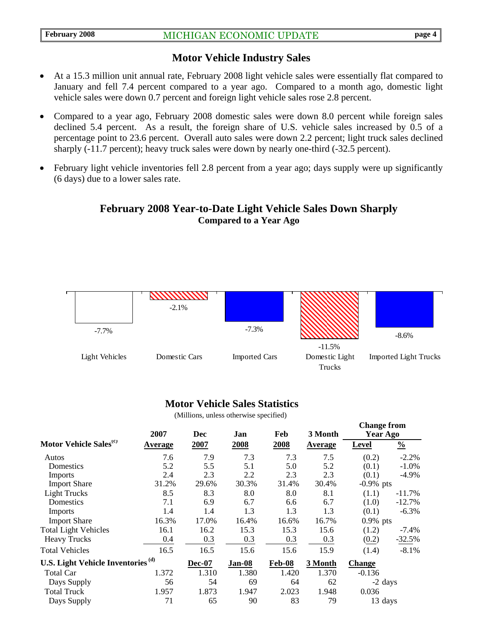### **Motor Vehicle Industry Sales**

- At a 15.3 million unit annual rate, February 2008 light vehicle sales were essentially flat compared to January and fell 7.4 percent compared to a year ago. Compared to a month ago, domestic light vehicle sales were down 0.7 percent and foreign light vehicle sales rose 2.8 percent.
- Compared to a year ago, February 2008 domestic sales were down 8.0 percent while foreign sales declined 5.4 percent. As a result, the foreign share of U.S. vehicle sales increased by 0.5 of a percentage point to 23.6 percent. Overall auto sales were down 2.2 percent; light truck sales declined sharply (-11.7 percent); heavy truck sales were down by nearly one-third (-32.5 percent).
- February light vehicle inventories fell 2.8 percent from a year ago; days supply were up significantly (6 days) due to a lower sales rate.

# **February 2008 Year-to-Date Light Vehicle Sales Down Sharply Compared to a Year Ago**



#### **Motor Vehicle Sales Statistics**

(Millions, unless otherwise specified)

|                                               | 2007           | <b>Dec</b>    | Jan    | Feb    | 3 Month        | <b>Change from</b><br>Year Ago |               |
|-----------------------------------------------|----------------|---------------|--------|--------|----------------|--------------------------------|---------------|
| Motor Vehicle Sales <sup>(c)</sup>            | <b>Average</b> | 2007          | 2008   | 2008   | <b>Average</b> | <b>Level</b>                   | $\frac{0}{0}$ |
| Autos                                         | 7.6            | 7.9           | 7.3    | 7.3    | 7.5            | (0.2)                          | $-2.2%$       |
| Domestics                                     | 5.2            | 5.5           | 5.1    | 5.0    | 5.2            | (0.1)                          | $-1.0\%$      |
| <b>Imports</b>                                | 2.4            | 2.3           | 2.2    | 2.3    | 2.3            | (0.1)                          | $-4.9\%$      |
| <b>Import Share</b>                           | 31.2%          | 29.6%         | 30.3%  | 31.4%  | 30.4%          | $-0.9%$ pts                    |               |
| <b>Light Trucks</b>                           | 8.5            | 8.3           | 8.0    | 8.0    | 8.1            | (1.1)                          | $-11.7\%$     |
| Domestics                                     | 7.1            | 6.9           | 6.7    | 6.6    | 6.7            | (1.0)                          | $-12.7%$      |
| <b>Imports</b>                                | 1.4            | 1.4           | 1.3    | 1.3    | 1.3            | (0.1)                          | $-6.3\%$      |
| <b>Import Share</b>                           | 16.3%          | 17.0%         | 16.4%  | 16.6%  | 16.7%          | $0.9\%$ pts                    |               |
| <b>Total Light Vehicles</b>                   | 16.1           | 16.2          | 15.3   | 15.3   | 15.6           | (1.2)                          | -7.4%         |
| <b>Heavy Trucks</b>                           | 0.4            | 0.3           | 0.3    | 0.3    | 0.3            | (0.2)                          | $-32.5%$      |
| <b>Total Vehicles</b>                         | 16.5           | 16.5          | 15.6   | 15.6   | 15.9           | (1.4)                          | $-8.1%$       |
| U.S. Light Vehicle Inventories <sup>(d)</sup> |                | <b>Dec-07</b> | Jan-08 | Feb-08 | 3 Month        | <b>Change</b>                  |               |
| <b>Total Car</b>                              | 1.372          | 1.310         | 1.380  | 1.420  | 1.370          | $-0.136$                       |               |
| Days Supply                                   | 56             | 54            | 69     | 64     | 62             | -2 days                        |               |
| <b>Total Truck</b>                            | 1.957          | 1.873         | 1.947  | 2.023  | 1.948          | 0.036                          |               |
| Days Supply                                   | 71             | 65            | 90     | 83     | 79             | 13 days                        |               |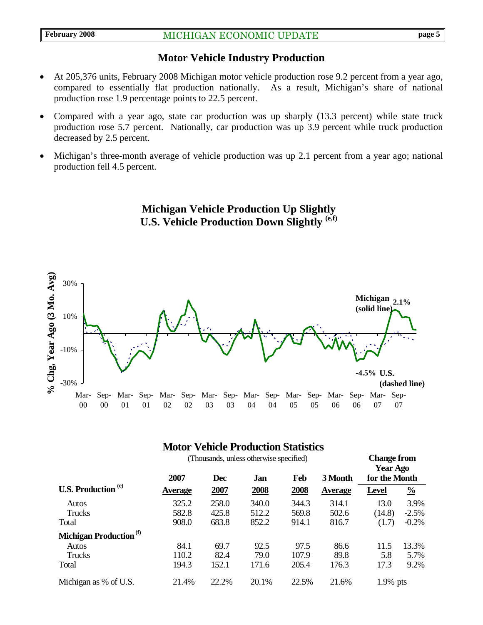## **Motor Vehicle Industry Production**

- At 205,376 units, February 2008 Michigan motor vehicle production rose 9.2 percent from a year ago, compared to essentially flat production nationally. As a result, Michigan's share of national production rose 1.9 percentage points to 22.5 percent.
- Compared with a year ago, state car production was up sharply (13.3 percent) while state truck production rose 5.7 percent. Nationally, car production was up 3.9 percent while truck production decreased by 2.5 percent.
- Michigan's three-month average of vehicle production was up 2.1 percent from a year ago; national production fell 4.5 percent.

**Michigan Vehicle Production Up Slightly U.S. Vehicle Production Down Slightly (e,f)** 



# **Motor Vehicle Production Statistics**

|                                    | (Thousands, unless otherwise specified) |            |             |             |                | <b>Change from</b><br><b>Year Ago</b> |               |
|------------------------------------|-----------------------------------------|------------|-------------|-------------|----------------|---------------------------------------|---------------|
|                                    | 2007                                    | <b>Dec</b> | Jan         | Feb         | 3 Month        | for the Month                         |               |
| <b>U.S. Production</b> (e)         | <b>Average</b>                          | 2007       | <u>2008</u> | <u>2008</u> | <b>Average</b> | <b>Level</b>                          | $\frac{0}{0}$ |
| Autos                              | 325.2                                   | 258.0      | 340.0       | 344.3       | 314.1          | 13.0                                  | 3.9%          |
| <b>Trucks</b>                      | 582.8                                   | 425.8      | 512.2       | 569.8       | 502.6          | (14.8)                                | $-2.5%$       |
| Total                              | 908.0                                   | 683.8      | 852.2       | 914.1       | 816.7          | (1.7)                                 | $-0.2%$       |
| Michigan Production <sup>(f)</sup> |                                         |            |             |             |                |                                       |               |
| Autos                              | 84.1                                    | 69.7       | 92.5        | 97.5        | 86.6           | 11.5                                  | 13.3%         |
| <b>Trucks</b>                      | 110.2                                   | 82.4       | 79.0        | 107.9       | 89.8           | 5.8                                   | 5.7%          |
| Total                              | 194.3                                   | 152.1      | 171.6       | 205.4       | 176.3          | 17.3                                  | 9.2%          |
| Michigan as % of U.S.              | 21.4%                                   | 22.2%      | 20.1%       | 22.5%       | 21.6%          | $1.9\%$ pts                           |               |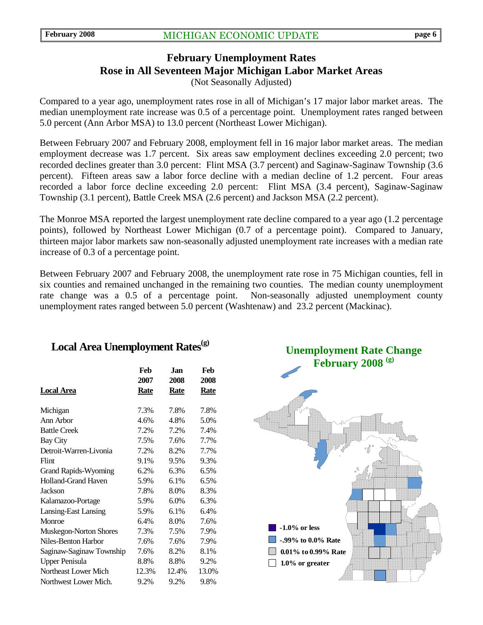# **February Unemployment Rates Rose in All Seventeen Major Michigan Labor Market Areas**

(Not Seasonally Adjusted)

Compared to a year ago, unemployment rates rose in all of Michigan's 17 major labor market areas. The median unemployment rate increase was 0.5 of a percentage point. Unemployment rates ranged between 5.0 percent (Ann Arbor MSA) to 13.0 percent (Northeast Lower Michigan).

Between February 2007 and February 2008, employment fell in 16 major labor market areas. The median employment decrease was 1.7 percent. Six areas saw employment declines exceeding 2.0 percent; two recorded declines greater than 3.0 percent: Flint MSA (3.7 percent) and Saginaw-Saginaw Township (3.6 percent). Fifteen areas saw a labor force decline with a median decline of 1.2 percent. Four areas recorded a labor force decline exceeding 2.0 percent: Flint MSA (3.4 percent), Saginaw-Saginaw Township (3.1 percent), Battle Creek MSA (2.6 percent) and Jackson MSA (2.2 percent).

The Monroe MSA reported the largest unemployment rate decline compared to a year ago (1.2 percentage points), followed by Northeast Lower Michigan (0.7 of a percentage point). Compared to January, thirteen major labor markets saw non-seasonally adjusted unemployment rate increases with a median rate increase of 0.3 of a percentage point.

Between February 2007 and February 2008, the unemployment rate rose in 75 Michigan counties, fell in six counties and remained unchanged in the remaining two counties. The median county unemployment rate change was a 0.5 of a percentage point. Non-seasonally adjusted unemployment county unemployment rates ranged between 5.0 percent (Washtenaw) and 23.2 percent (Mackinac).

# Local Area Unemployment Rates<sup>(g)</sup>

|                             | Feb   | Jan         | Feb   |
|-----------------------------|-------|-------------|-------|
|                             | 2007  | 2008        | 2008  |
| Local Area                  | Rate  | <b>Rate</b> | Rate  |
| Michigan                    | 7.3%  | 7.8%        | 7.8%  |
| Ann Arbor                   | 4.6%  | 4.8%        | 5.0%  |
| <b>Battle Creek</b>         | 7.2%  | 7.2%        | 7.4%  |
| <b>Bay City</b>             | 7.5%  | 7.6%        | 7.7%  |
| Detroit-Warren-Livonia      | 7.2%  | 8.2%        | 7.7%  |
| Flint                       | 9.1%  | 9.5%        | 9.3%  |
| <b>Grand Rapids-Wyoming</b> | 6.2%  | 6.3%        | 6.5%  |
| <b>Holland-Grand Haven</b>  | 5.9%  | 6.1%        | 6.5%  |
| <b>Jackson</b>              | 7.8%  | 8.0%        | 8.3%  |
| Kalamazoo-Portage           | 5.9%  | 6.0%        | 6.3%  |
| Lansing-East Lansing        | 5.9%  | 6.1%        | 6.4%  |
| Monroe                      | 6.4%  | 8.0%        | 7.6%  |
| Muskegon-Norton Shores      | 7.3%  | 7.5%        | 7.9%  |
| Niles-Benton Harbor         | 7.6%  | 7.6%        | 7.9%  |
| Saginaw-Saginaw Township    | 7.6%  | 8.2%        | 8.1%  |
| <b>Upper Penisula</b>       | 8.8%  | 8.8%        | 9.2%  |
| Northeast Lower Mich        | 12.3% | 12.4%       | 13.0% |
| Northwest Lower Mich.       | 9.2%  | 9.2%        | 9.8%  |

**Unemployment Rate Change February 2008 (g)**

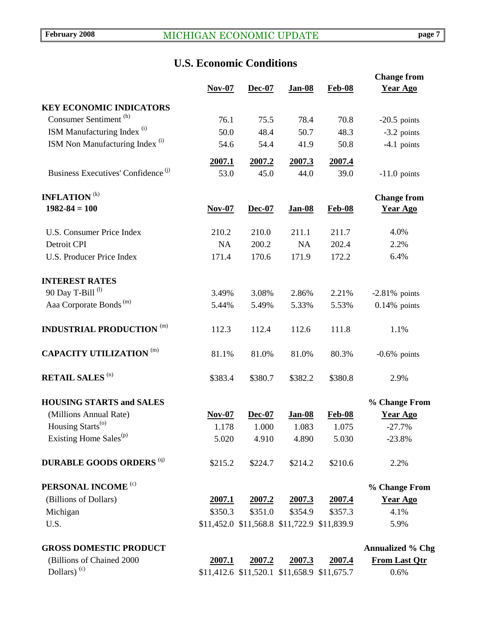# **U.S. Economic Conditions**

|                                                | $Nov-07$  | Dec-07  | Jan-08                                      | <b>Feb-08</b> | <b>Change from</b><br><b>Year Ago</b> |
|------------------------------------------------|-----------|---------|---------------------------------------------|---------------|---------------------------------------|
| <b>KEY ECONOMIC INDICATORS</b>                 |           |         |                                             |               |                                       |
| Consumer Sentiment <sup>(h)</sup>              | 76.1      | 75.5    | 78.4                                        | 70.8          | $-20.5$ points                        |
| ISM Manufacturing Index <sup>(i)</sup>         | 50.0      | 48.4    | 50.7                                        | 48.3          | $-3.2$ points                         |
| ISM Non Manufacturing Index <sup>(i)</sup>     | 54.6      | 54.4    | 41.9                                        | 50.8          | $-4.1$ points                         |
|                                                |           |         |                                             |               |                                       |
|                                                | 2007.1    | 2007.2  | 2007.3                                      | 2007.4        |                                       |
| Business Executives' Confidence <sup>(j)</sup> | 53.0      | 45.0    | 44.0                                        | 39.0          | $-11.0$ points                        |
| <b>INFLATION</b> <sup>(k)</sup>                |           |         |                                             |               | <b>Change from</b>                    |
| $1982 - 84 = 100$                              | $Nov-07$  | Dec-07  | <b>Jan-08</b>                               | <b>Feb-08</b> | <b>Year Ago</b>                       |
| <b>U.S. Consumer Price Index</b>               | 210.2     | 210.0   | 211.1                                       | 211.7         | 4.0%                                  |
| Detroit CPI                                    | <b>NA</b> | 200.2   | NA                                          | 202.4         | 2.2%                                  |
| <b>U.S. Producer Price Index</b>               | 171.4     | 170.6   | 171.9                                       | 172.2         | 6.4%                                  |
| <b>INTEREST RATES</b>                          |           |         |                                             |               |                                       |
| 90 Day T-Bill <sup>(l)</sup>                   | 3.49%     | 3.08%   | 2.86%                                       | 2.21%         | $-2.81\%$ points                      |
| Aaa Corporate Bonds <sup>(m)</sup>             | 5.44%     | 5.49%   | 5.33%                                       | 5.53%         | $0.14\%$ points                       |
| <b>INDUSTRIAL PRODUCTION</b><br>(m)            | 112.3     | 112.4   | 112.6                                       | 111.8         | 1.1%                                  |
| <b>CAPACITY UTILIZATION</b> (m)                | 81.1%     | 81.0%   | 81.0%                                       | 80.3%         | $-0.6\%$ points                       |
| <b>RETAIL SALES (n)</b>                        | \$383.4   | \$380.7 | \$382.2                                     | \$380.8       | 2.9%                                  |
| <b>HOUSING STARTS and SALES</b>                |           |         |                                             |               | % Change From                         |
| (Millions Annual Rate)                         | $Nov-07$  | Dec-07  | <b>Jan-08</b>                               | <b>Feb-08</b> | <b>Year Ago</b>                       |
| Housing Starts <sup>(o)</sup>                  | 1.178     | 1.000   | 1.083                                       | 1.075         | $-27.7%$                              |
| Existing Home Sales <sup>(p)</sup>             | 5.020     | 4.910   | 4.890                                       | 5.030         | $-23.8%$                              |
| <b>DURABLE GOODS ORDERS (q)</b>                | \$215.2   | \$224.7 | \$214.2                                     | \$210.6       | 2.2%                                  |
| PERSONAL INCOME <sup>(c)</sup>                 |           |         |                                             |               | % Change From                         |
| (Billions of Dollars)                          | 2007.1    | 2007.2  | 2007.3                                      | 2007.4        | <b>Year Ago</b>                       |
| Michigan                                       | \$350.3   | \$351.0 | \$354.9                                     | \$357.3       | 4.1%                                  |
| U.S.                                           |           |         | \$11,452.0 \$11,568.8 \$11,722.9 \$11,839.9 |               | 5.9%                                  |
| <b>GROSS DOMESTIC PRODUCT</b>                  |           |         |                                             |               | <b>Annualized % Chg</b>               |
| (Billions of Chained 2000                      | 2007.1    | 2007.2  | 2007.3                                      | 2007.4        | <b>From Last Qtr</b>                  |
| Dollars) <sup>(c)</sup>                        |           |         | \$11,412.6 \$11,520.1 \$11,658.9 \$11,675.7 |               | 0.6%                                  |